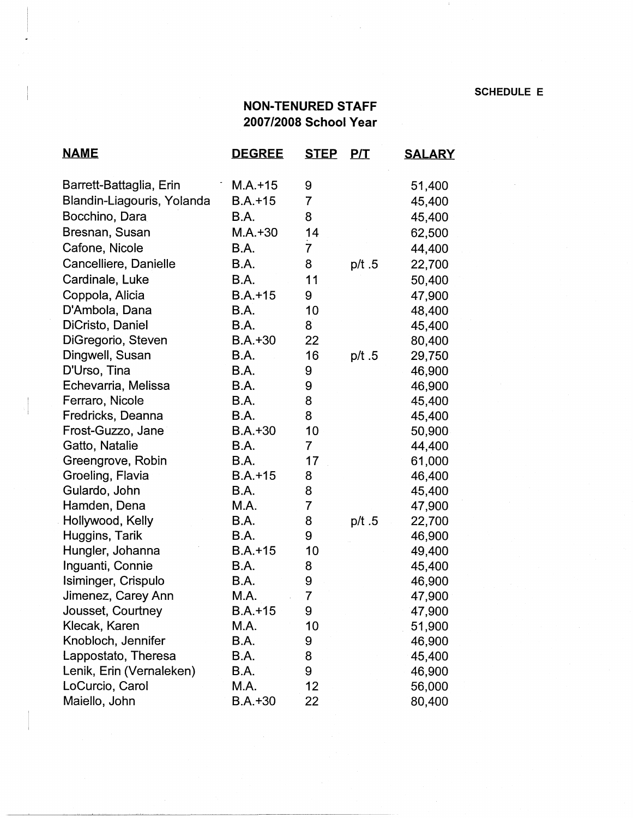**SCHEDULE E** 

## **NON-TENURED STAFF 2007/2008 School Year**

| <u>NAME</u>                | <b>DEGREE</b> | <u>STEP</u>          | <u>P/T</u> | <b>SALARY</b> |
|----------------------------|---------------|----------------------|------------|---------------|
| Barrett-Battaglia, Erin    | $M.A.+15$     | 9                    |            | 51,400        |
| Blandin-Liagouris, Yolanda | $B.A.+15$     | 7                    |            | 45,400        |
| Bocchino, Dara             | B.A.          | 8                    |            | 45,400        |
| Bresnan, Susan             | $M.A. + 30$   | 14                   |            | 62,500        |
| Cafone, Nicole             | B.A.          | $\frac{1}{\sqrt{2}}$ |            | 44,400        |
| Cancelliere, Danielle      | B.A.          | 8                    | p/t.5      | 22,700        |
| Cardinale, Luke            | <b>B.A.</b>   | 11                   |            | 50,400        |
| Coppola, Alicia            | $B.A.+15$     | 9                    |            | 47,900        |
| D'Ambola, Dana             | B.A.          | 10                   |            | 48,400        |
| DiCristo, Daniel           | B.A.          | 8                    |            | 45,400        |
| DiGregorio, Steven         | $B.A.+30$     | 22                   |            | 80,400        |
| Dingwell, Susan            | B.A.          | 16                   | p/t.5      | 29,750        |
| D'Urso, Tina               | B.A.          | 9                    |            | 46,900        |
| Echevarria, Melissa        | B.A.          | 9                    |            | 46,900        |
| Ferraro, Nicole            | B.A.          | 8                    |            | 45,400        |
| Fredricks, Deanna          | <b>B.A.</b>   | 8                    |            | 45,400        |
| Frost-Guzzo, Jane          | $B.A.+30$     | 10                   |            | 50,900        |
| Gatto, Natalie             | <b>B.A.</b>   | $\overline{7}$       |            | 44,400        |
| Greengrove, Robin          | B.A.          | 17                   |            | 61,000        |
| Groeling, Flavia           | $B.A.+15$     | 8                    |            | 46,400        |
| Gulardo, John              | B.A.          | 8                    |            | 45,400        |
| Hamden, Dena               | M.A.          | $\overline{7}$       |            | 47,900        |
| Hollywood, Kelly           | B.A.          | 8                    | p/t.5      | 22,700        |
| Huggins, Tarik             | <b>B.A.</b>   | 9                    |            | 46,900        |
| Hungler, Johanna           | $B.A.+15$     | 10                   |            | 49,400        |
| Inguanti, Connie           | B.A.          | 8                    |            | 45,400        |
| Isiminger, Crispulo        | B.A.          | 9                    |            | 46,900        |
| Jimenez, Carey Ann         | M.A.          | $\overline{7}$       |            | 47,900        |
| Jousset, Courtney          | $B.A.+15$     | 9                    |            | 47,900        |
| Klecak, Karen              | M.A.          | 10                   |            | 51,900        |
| Knobloch, Jennifer         | B.A.          | 9                    |            | 46,900        |
| Lappostato, Theresa        | B.A.          | 8                    |            | 45,400        |
| Lenik, Erin (Vernaleken)   | <b>B.A.</b>   | 9                    |            | 46,900        |
| LoCurcio, Carol            | M.A.          | 12                   |            | 56,000        |
| Maiello, John              | $B.A.+30$     | 22                   |            | 80,400        |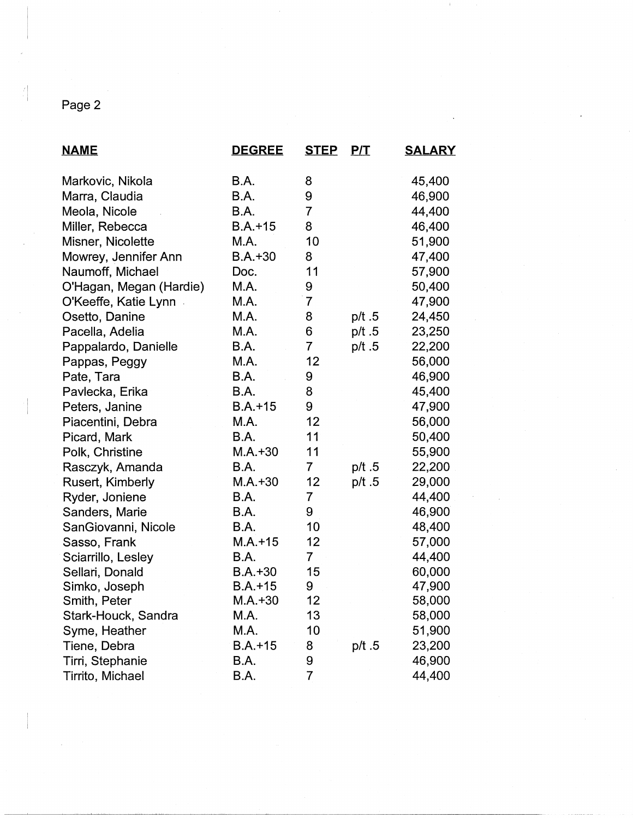## Page 2

| <u>NAME</u>             | <b>DEGREE</b> | <b>STEP</b>    | <u>P/T</u> | <u>SALARY</u> |
|-------------------------|---------------|----------------|------------|---------------|
| Markovic, Nikola        | B.A.          | 8              |            | 45,400        |
| Marra, Claudia          | B.A.          | 9              |            | 46,900        |
| Meola, Nicole           | B.A.          | $\overline{7}$ |            | 44,400        |
| Miller, Rebecca         | $B.A. + 15$   | 8              |            | 46,400        |
| Misner, Nicolette       | M.A.          | 10             |            | 51,900        |
| Mowrey, Jennifer Ann    | $B.A.+30$     | 8              |            | 47,400        |
| Naumoff, Michael        | Doc.          | 11             |            | 57,900        |
| O'Hagan, Megan (Hardie) | M.A.          | 9              |            | 50,400        |
| O'Keeffe, Katie Lynn    | M.A.          | $\overline{7}$ |            | 47,900        |
| Osetto, Danine          | M.A.          | 8              | p/t.5      | 24,450        |
| Pacella, Adelia         | M.A.          | 6              | p/t.5      | 23,250        |
| Pappalardo, Danielle    | B.A.          | $\overline{7}$ | p/t.5      | 22,200        |
| Pappas, Peggy           | M.A.          | 12             |            | 56,000        |
| Pate, Tara              | B.A.          | 9              |            | 46,900        |
| Pavlecka, Erika         | <b>B.A.</b>   | 8              |            | 45,400        |
| Peters, Janine          | $B.A.+15$     | 9              |            | 47,900        |
| Piacentini, Debra       | M.A.          | 12             |            | 56,000        |
| Picard, Mark            | B.A.          | 11             |            | 50,400        |
| Polk, Christine         | $M.A.+30$     | 11             |            | 55,900        |
| Rasczyk, Amanda         | B.A.          | $\overline{7}$ | p/t.5      | 22,200        |
| Rusert, Kimberly        | $M.A. + 30$   | 12             | p/t.5      | 29,000        |
| Ryder, Joniene          | B.A.          | $\overline{7}$ |            | 44,400        |
| Sanders, Marie          | B.A.          | 9              |            | 46,900        |
| SanGiovanni, Nicole     | B.A.          | 10             |            | 48,400        |
| Sasso, Frank            | $M.A. + 15$   | 12             |            | 57,000        |
| Sciarrillo, Lesley      | B.A.          | $\overline{7}$ |            | 44,400        |
| Sellari, Donald         | $B.A.+30$     | 15             |            | 60,000        |
| Simko, Joseph           | $B.A.+15$     | 9              |            | 47,900        |
| Smith, Peter            | $M.A.+30$     | 12             |            | 58,000        |
| Stark-Houck, Sandra     | M.A.          | 13             |            | 58,000        |
| Syme, Heather           | M.A.          | 10             |            | 51,900        |
| Tiene, Debra            | $B.A.+15$     | 8              | p/t.5      | 23,200        |
| Tirri, Stephanie        | B.A.          | 9              |            | 46,900        |
| Tirrito, Michael        | B.A.          | $\overline{7}$ |            | 44,400        |